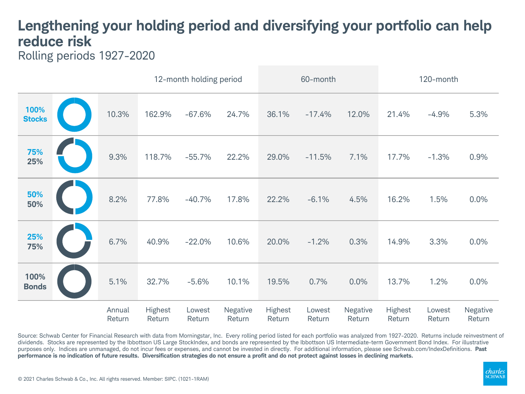## **Lengthening your holding period and diversifying your portfolio can help reduce risk**

Rolling periods 1927-2020

|                       |                  | 12-month holding period |                  |                    | 60-month          |                  |                    | 120-month         |                  |                    |
|-----------------------|------------------|-------------------------|------------------|--------------------|-------------------|------------------|--------------------|-------------------|------------------|--------------------|
| 100%<br><b>Stocks</b> | 10.3%            | 162.9%                  | $-67.6%$         | 24.7%              | 36.1%             | $-17.4%$         | 12.0%              | 21.4%             | $-4.9%$          | 5.3%               |
| 75%<br>25%            | 9.3%             | 118.7%                  | $-55.7%$         | 22.2%              | 29.0%             | $-11.5%$         | 7.1%               | 17.7%             | $-1.3%$          | 0.9%               |
| 50%<br>50%            | 8.2%             | 77.8%                   | $-40.7%$         | 17.8%              | 22.2%             | $-6.1%$          | 4.5%               | 16.2%             | 1.5%             | 0.0%               |
| 25%<br>75%            | 6.7%             | 40.9%                   | $-22.0%$         | 10.6%              | 20.0%             | $-1.2%$          | 0.3%               | 14.9%             | 3.3%             | 0.0%               |
| 100%<br><b>Bonds</b>  | 5.1%             | 32.7%                   | $-5.6%$          | 10.1%              | 19.5%             | 0.7%             | 0.0%               | 13.7%             | 1.2%             | 0.0%               |
|                       | Annual<br>Return | Highest<br>Return       | Lowest<br>Return | Negative<br>Return | Highest<br>Return | Lowest<br>Return | Negative<br>Return | Highest<br>Return | Lowest<br>Return | Negative<br>Return |

Source: Schwab Center for Financial Research with data from Morningstar, Inc. Every rolling period listed for each portfolio was analyzed from 1927-2020. Returns include reinvestment of dividends. Stocks are represented by the Ibbottson US Large StockIndex, and bonds are represented by the Ibbottson US Intermediate-term Government Bond Index. For illustrative purposes only. Indices are unmanaged, do not incur fees or expenses, and cannot be invested in directly. For additional information, please see Schwab.com/IndexDefinitions. **Past performance is no indication of future results. Diversification strategies do not ensure a profit and do not protect against losses in declining markets.**